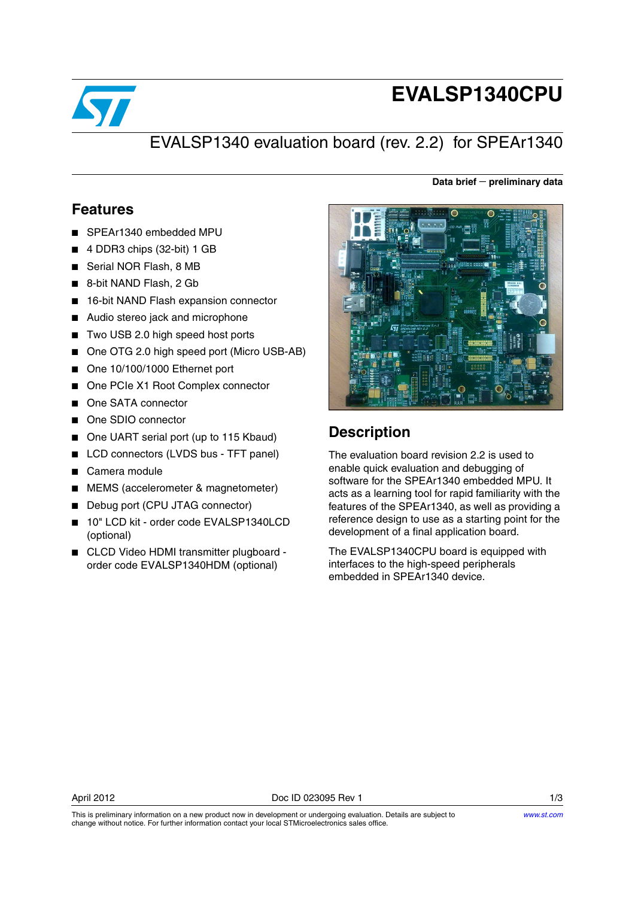

# **EVALSP1340CPU**

**Data brief** − **preliminary data**

## EVALSP1340 evaluation board (rev. 2.2) for SPEAr1340

#### **Features**

- SPEAr1340 embedded MPU
- 4 DDR3 chips (32-bit) 1 GB
- Serial NOR Flash, 8 MB
- 8-bit NAND Flash, 2 Gb
- 16-bit NAND Flash expansion connector
- Audio stereo jack and microphone
- Two USB 2.0 high speed host ports
- One OTG 2.0 high speed port (Micro USB-AB)
- One 10/100/1000 Ethernet port
- One PCIe X1 Root Complex connector
- One SATA connector
- One SDIO connector
- One UART serial port (up to 115 Kbaud)
- LCD connectors (LVDS bus TFT panel)
- Camera module
- MEMS (accelerometer & magnetometer)
- Debug port (CPU JTAG connector)
- 10" LCD kit order code EVALSP1340LCD (optional)
- CLCD Video HDMI transmitter plugboard order code EVALSP1340HDM (optional)



### **Description**

The evaluation board revision 2.2 is used to enable quick evaluation and debugging of software for the SPEAr1340 embedded MPU. It acts as a learning tool for rapid familiarity with the features of the SPEAr1340, as well as providing a reference design to use as a starting point for the development of a final application board.

The EVALSP1340CPU board is equipped with interfaces to the high-speed peripherals embedded in SPEAr1340 device.

This is preliminary information on a new product now in development or undergoing evaluation. Details are subject to

change without notice. For further information contact your local STMicroelectronics sales office.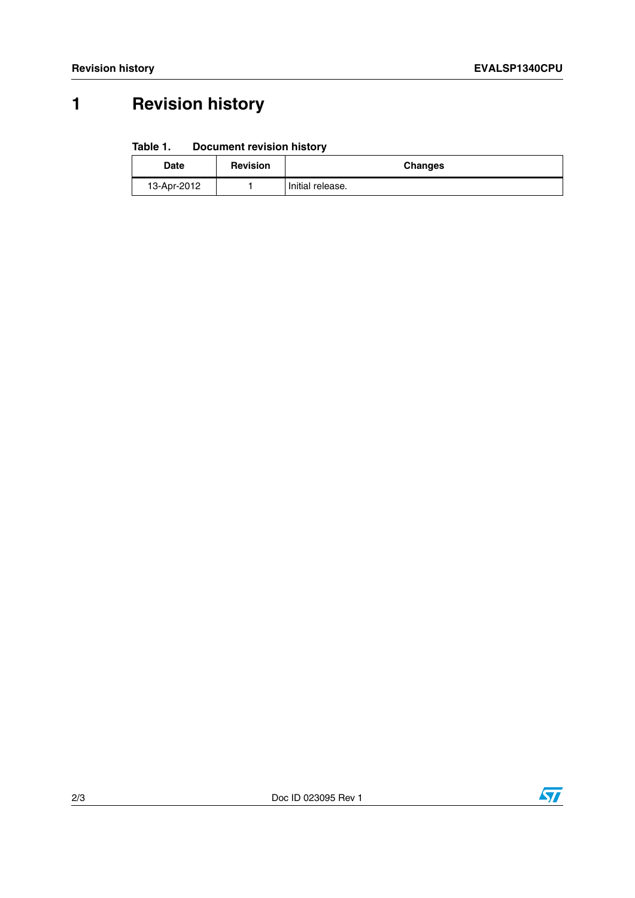## **1 Revision history**

#### Table 1. **Document revision history**

| Date        | <b>Revision</b> | <b>Changes</b>   |
|-------------|-----------------|------------------|
| 13-Apr-2012 |                 | Initial release. |